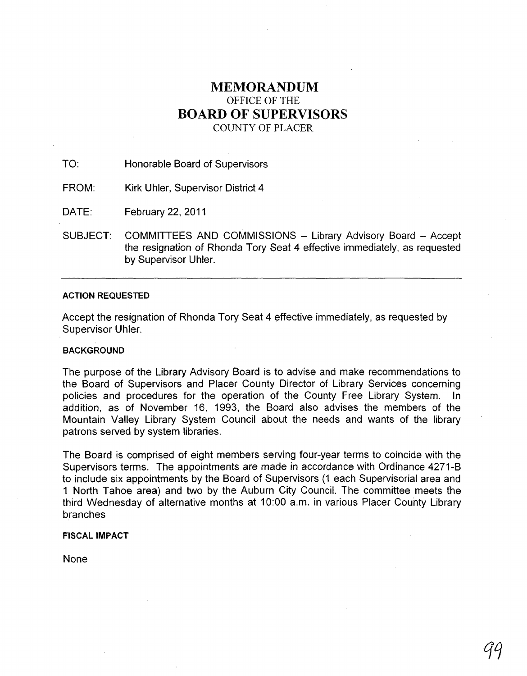# **MEMORANDUM**  OFFICE OF THE **BOARD OF SUPERVISORS**

COUNTY OF PLACER

TO: Honorable Board of Supervisors

FROM: Kirk Uhler, Supervisor District 4

DATE: February 22, 2011

SUBJECT: COMMITTEES AND COMMISSIONS - Library Advisory Board - Accept the resignation of Rhonda Tory Seat 4 effective immediately, as requested by Supervisor Uhler.

# **ACTION REQUESTED**

Accept the resignation of Rhonda Tory Seat 4 effective immediately, as requested by Supervisor Uhler.

## **BACKGROUND**

The purpose of the Library Advisory Board is to advise and make recommendations to the Board of Supervisors and Placer County Director of Library Services concerning policies and procedures for the operation of the County Free Library System. In addition, as of November 16, 1993, the Board also advises the members of the Mountain Valley Library System Council about the needs and wants of the library patrons served by system libraries.

The Board is comprised of eight members serving four-year terms to coincide with the Supervisors terms. The appointments are made in accordance with Ordinance 4271-B to include six appointments by the Board of Supervisors (1 each Supervisorial area and 1 North Tahoe area) and two by the Auburn City Council. The committee meets the third Wednesday of alternative months at 10:00 a.m. in various Placer County Library branches

## **FISCAL IMPACT**

None